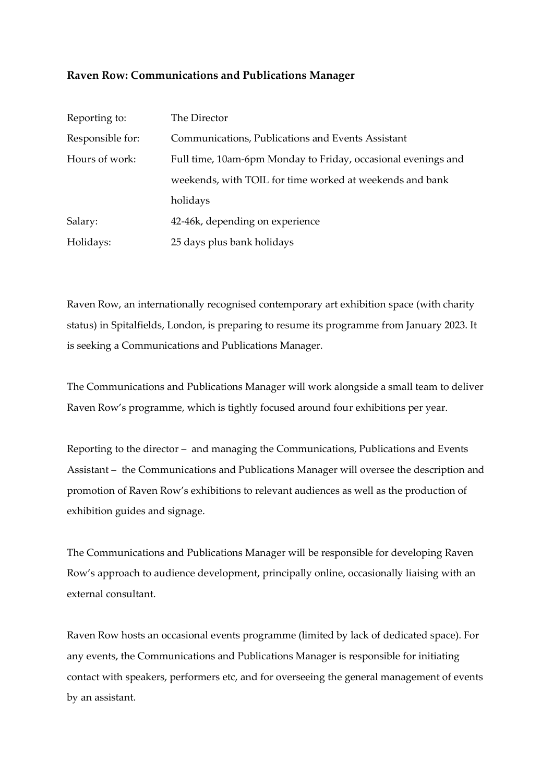### **Raven Row: Communications and Publications Manager**

| Reporting to:    | The Director                                                  |
|------------------|---------------------------------------------------------------|
| Responsible for: | Communications, Publications and Events Assistant             |
| Hours of work:   | Full time, 10am-6pm Monday to Friday, occasional evenings and |
|                  | weekends, with TOIL for time worked at weekends and bank      |
|                  | holidays                                                      |
| Salary:          | 42-46k, depending on experience                               |
| Holidays:        | 25 days plus bank holidays                                    |

Raven Row, an internationally recognised contemporary art exhibition space (with charity status) in Spitalfields, London, is preparing to resume its programme from January 2023. It is seeking a Communications and Publications Manager.

The Communications and Publications Manager will work alongside a small team to deliver Raven Row's programme, which is tightly focused around four exhibitions per year.

Reporting to the director – and managing the Communications, Publications and Events Assistant – the Communications and Publications Manager will oversee the description and promotion of Raven Row's exhibitions to relevant audiences as well as the production of exhibition guides and signage.

The Communications and Publications Manager will be responsible for developing Raven Row's approach to audience development, principally online, occasionally liaising with an external consultant.

Raven Row hosts an occasional events programme (limited by lack of dedicated space). For any events, the Communications and Publications Manager is responsible for initiating contact with speakers, performers etc, and for overseeing the general management of events by an assistant.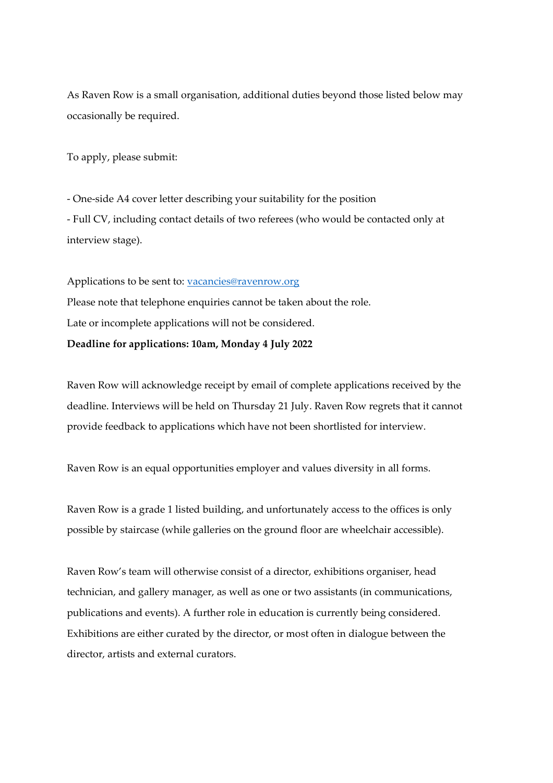As Raven Row is a small organisation, additional duties beyond those listed below may occasionally be required.

To apply, please submit:

- One-side A4 cover letter describing your suitability for the position - Full CV, including contact details of two referees (who would be contacted only at interview stage).

Applications to be sent to: [vacancies@ravenrow.org](mailto:vacancies@ravenrow.org) Please note that telephone enquiries cannot be taken about the role. Late or incomplete applications will not be considered. **Deadline for applications: 10am, Monday 4 July 2022**

Raven Row will acknowledge receipt by email of complete applications received by the deadline. Interviews will be held on Thursday 21 July. Raven Row regrets that it cannot provide feedback to applications which have not been shortlisted for interview.

Raven Row is an equal opportunities employer and values diversity in all forms.

Raven Row is a grade 1 listed building, and unfortunately access to the offices is only possible by staircase (while galleries on the ground floor are wheelchair accessible).

Raven Row's team will otherwise consist of a director, exhibitions organiser, head technician, and gallery manager, as well as one or two assistants (in communications, publications and events). A further role in education is currently being considered. Exhibitions are either curated by the director, or most often in dialogue between the director, artists and external curators.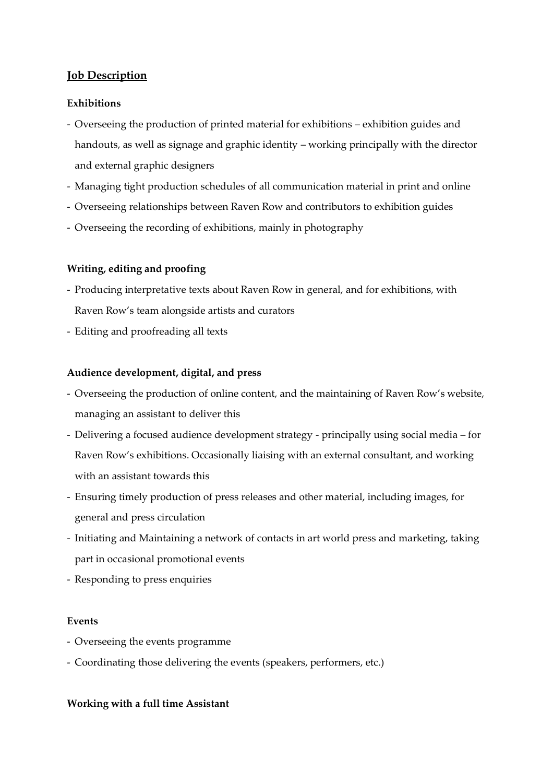# **Job Description**

### **Exhibitions**

- Overseeing the production of printed material for exhibitions exhibition guides and handouts, as well as signage and graphic identity – working principally with the director and external graphic designers
- Managing tight production schedules of all communication material in print and online
- Overseeing relationships between Raven Row and contributors to exhibition guides
- Overseeing the recording of exhibitions, mainly in photography

# **Writing, editing and proofing**

- Producing interpretative texts about Raven Row in general, and for exhibitions, with Raven Row's team alongside artists and curators
- Editing and proofreading all texts

### **Audience development, digital, and press**

- Overseeing the production of online content, and the maintaining of Raven Row's website, managing an assistant to deliver this
- Delivering a focused audience development strategy principally using social media for Raven Row's exhibitions. Occasionally liaising with an external consultant, and working with an assistant towards this
- Ensuring timely production of press releases and other material, including images, for general and press circulation
- Initiating and Maintaining a network of contacts in art world press and marketing, taking part in occasional promotional events
- Responding to press enquiries

#### **Events**

- Overseeing the events programme
- Coordinating those delivering the events (speakers, performers, etc.)

#### **Working with a full time Assistant**